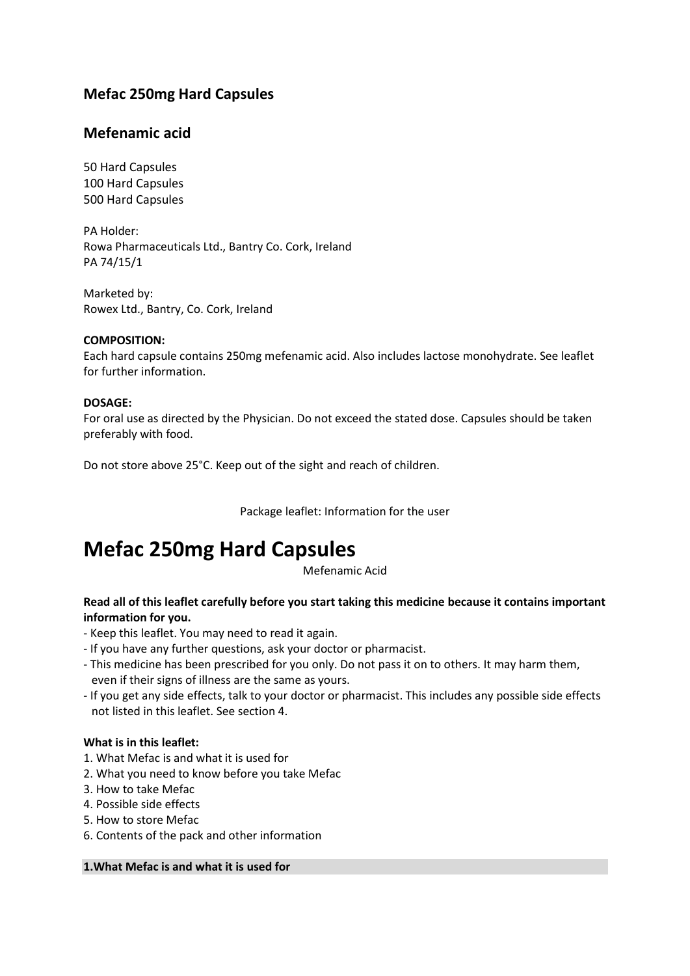# **Mefac 250mg Hard Capsules**

# **Mefenamic acid**

50 Hard Capsules 100 Hard Capsules 500 Hard Capsules

PA Holder: Rowa Pharmaceuticals Ltd., Bantry Co. Cork, Ireland PA 74/15/1

Marketed by: Rowex Ltd., Bantry, Co. Cork, Ireland

# **COMPOSITION:**

Each hard capsule contains 250mg mefenamic acid. Also includes lactose monohydrate. See leaflet for further information.

# **DOSAGE:**

For oral use as directed by the Physician. Do not exceed the stated dose. Capsules should be taken preferably with food.

Do not store above 25°C. Keep out of the sight and reach of children.

Package leaflet: Information for the user

# **Mefac 250mg Hard Capsules**

Mefenamic Acid

# **Read all of this leaflet carefully before you start taking this medicine because it contains important information for you.**

- Keep this leaflet. You may need to read it again.
- If you have any further questions, ask your doctor or pharmacist.
- This medicine has been prescribed for you only. Do not pass it on to others. It may harm them, even if their signs of illness are the same as yours.
- If you get any side effects, talk to your doctor or pharmacist. This includes any possible side effects not listed in this leaflet. See section 4.

# **What is in this leaflet:**

- 1. What Mefac is and what it is used for
- 2. What you need to know before you take Mefac
- 3. How to take Mefac
- 4. Possible side effects
- 5. How to store Mefac
- 6. Contents of the pack and other information

**1.What Mefac is and what it is used for**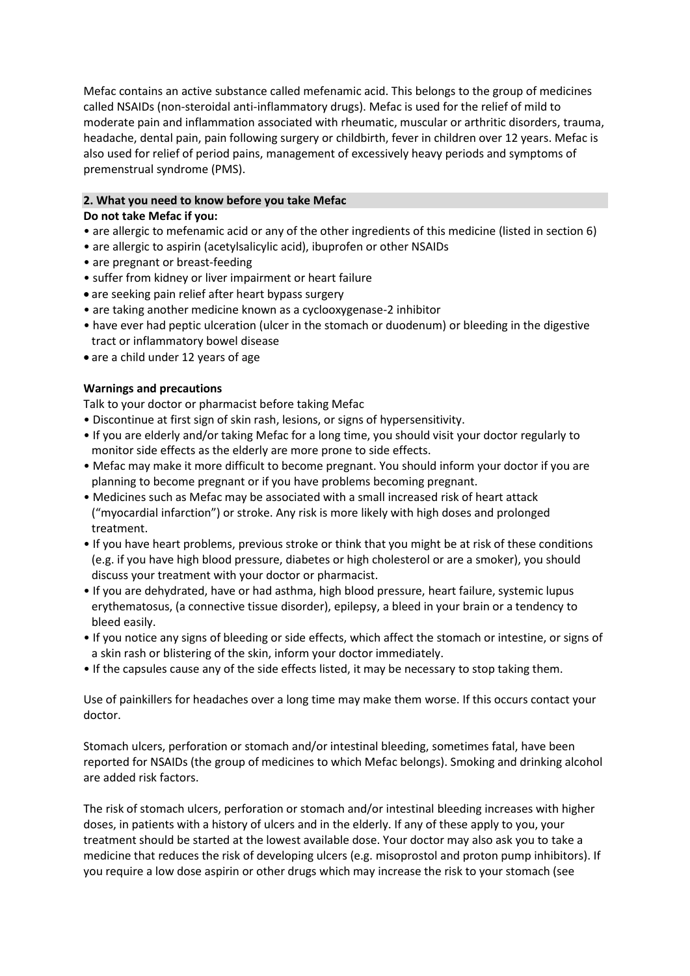Mefac contains an active substance called mefenamic acid. This belongs to the group of medicines called NSAIDs (non-steroidal anti-inflammatory drugs). Mefac is used for the relief of mild to moderate pain and inflammation associated with rheumatic, muscular or arthritic disorders, trauma, headache, dental pain, pain following surgery or childbirth, fever in children over 12 years. Mefac is also used for relief of period pains, management of excessively heavy periods and symptoms of premenstrual syndrome (PMS).

# **2. What you need to know before you take Mefac**

# **Do not take Mefac if you:**

- are allergic to mefenamic acid or any of the other ingredients of this medicine (listed in section 6)
- are allergic to aspirin (acetylsalicylic acid), ibuprofen or other NSAIDs
- are pregnant or breast-feeding
- suffer from kidney or liver impairment or heart failure
- are seeking pain relief after heart bypass surgery
- are taking another medicine known as a cyclooxygenase-2 inhibitor
- have ever had peptic ulceration (ulcer in the stomach or duodenum) or bleeding in the digestive tract or inflammatory bowel disease
- are a child under 12 years of age

# **Warnings and precautions**

Talk to your doctor or pharmacist before taking Mefac

- Discontinue at first sign of skin rash, lesions, or signs of hypersensitivity.
- If you are elderly and/or taking Mefac for a long time, you should visit your doctor regularly to monitor side effects as the elderly are more prone to side effects.
- Mefac may make it more difficult to become pregnant. You should inform your doctor if you are planning to become pregnant or if you have problems becoming pregnant.
- Medicines such as Mefac may be associated with a small increased risk of heart attack ("myocardial infarction") or stroke. Any risk is more likely with high doses and prolonged treatment.
- If you have heart problems, previous stroke or think that you might be at risk of these conditions (e.g. if you have high blood pressure, diabetes or high cholesterol or are a smoker), you should discuss your treatment with your doctor or pharmacist.
- If you are dehydrated, have or had asthma, high blood pressure, heart failure, systemic lupus erythematosus, (a connective tissue disorder), epilepsy, a bleed in your brain or a tendency to bleed easily.
- If you notice any signs of bleeding or side effects, which affect the stomach or intestine, or signs of a skin rash or blistering of the skin, inform your doctor immediately.
- If the capsules cause any of the side effects listed, it may be necessary to stop taking them.

Use of painkillers for headaches over a long time may make them worse. If this occurs contact your doctor.

Stomach ulcers, perforation or stomach and/or intestinal bleeding, sometimes fatal, have been reported for NSAIDs (the group of medicines to which Mefac belongs). Smoking and drinking alcohol are added risk factors.

The risk of stomach ulcers, perforation or stomach and/or intestinal bleeding increases with higher doses, in patients with a history of ulcers and in the elderly. If any of these apply to you, your treatment should be started at the lowest available dose. Your doctor may also ask you to take a medicine that reduces the risk of developing ulcers (e.g. misoprostol and proton pump inhibitors). If you require a low dose aspirin or other drugs which may increase the risk to your stomach (see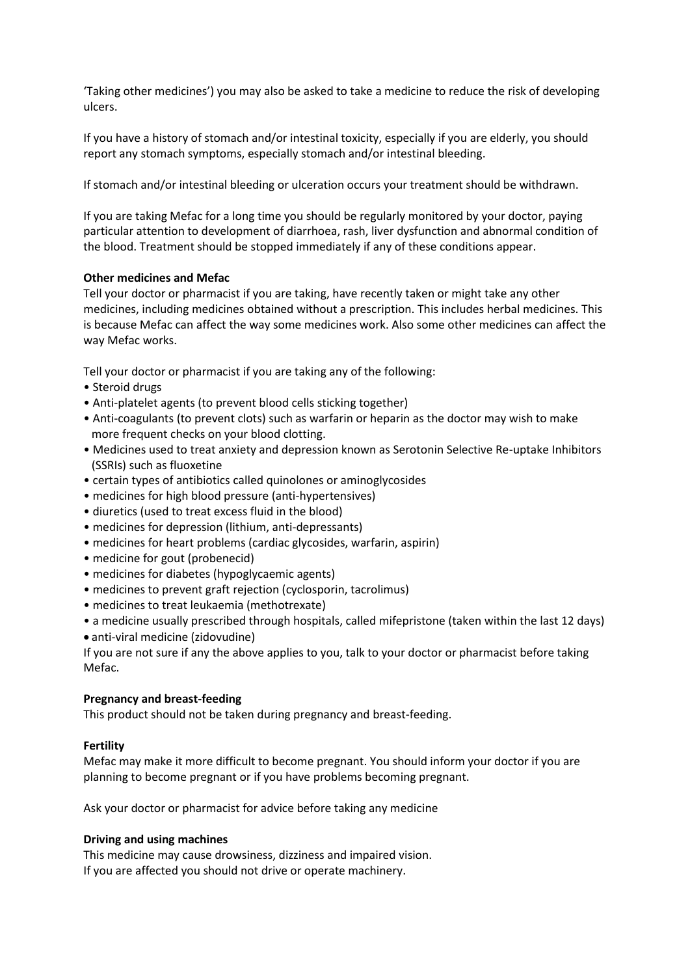'Taking other medicines') you may also be asked to take a medicine to reduce the risk of developing ulcers.

If you have a history of stomach and/or intestinal toxicity, especially if you are elderly, you should report any stomach symptoms, especially stomach and/or intestinal bleeding.

If stomach and/or intestinal bleeding or ulceration occurs your treatment should be withdrawn.

If you are taking Mefac for a long time you should be regularly monitored by your doctor, paying particular attention to development of diarrhoea, rash, liver dysfunction and abnormal condition of the blood. Treatment should be stopped immediately if any of these conditions appear.

# **Other medicines and Mefac**

Tell your doctor or pharmacist if you are taking, have recently taken or might take any other medicines, including medicines obtained without a prescription. This includes herbal medicines. This is because Mefac can affect the way some medicines work. Also some other medicines can affect the way Mefac works.

Tell your doctor or pharmacist if you are taking any of the following:

- Steroid drugs
- Anti-platelet agents (to prevent blood cells sticking together)
- Anti-coagulants (to prevent clots) such as warfarin or heparin as the doctor may wish to make more frequent checks on your blood clotting.
- Medicines used to treat anxiety and depression known as Serotonin Selective Re-uptake Inhibitors (SSRIs) such as fluoxetine
- certain types of antibiotics called quinolones or aminoglycosides
- medicines for high blood pressure (anti-hypertensives)
- diuretics (used to treat excess fluid in the blood)
- medicines for depression (lithium, anti-depressants)
- medicines for heart problems (cardiac glycosides, warfarin, aspirin)
- medicine for gout (probenecid)
- medicines for diabetes (hypoglycaemic agents)
- medicines to prevent graft rejection (cyclosporin, tacrolimus)
- medicines to treat leukaemia (methotrexate)
- a medicine usually prescribed through hospitals, called mifepristone (taken within the last 12 days)
- anti-viral medicine (zidovudine)

If you are not sure if any the above applies to you, talk to your doctor or pharmacist before taking Mefac.

# **Pregnancy and breast-feeding**

This product should not be taken during pregnancy and breast-feeding.

# **Fertility**

Mefac may make it more difficult to become pregnant. You should inform your doctor if you are planning to become pregnant or if you have problems becoming pregnant.

Ask your doctor or pharmacist for advice before taking any medicine

# **Driving and using machines**

This medicine may cause drowsiness, dizziness and impaired vision. If you are affected you should not drive or operate machinery.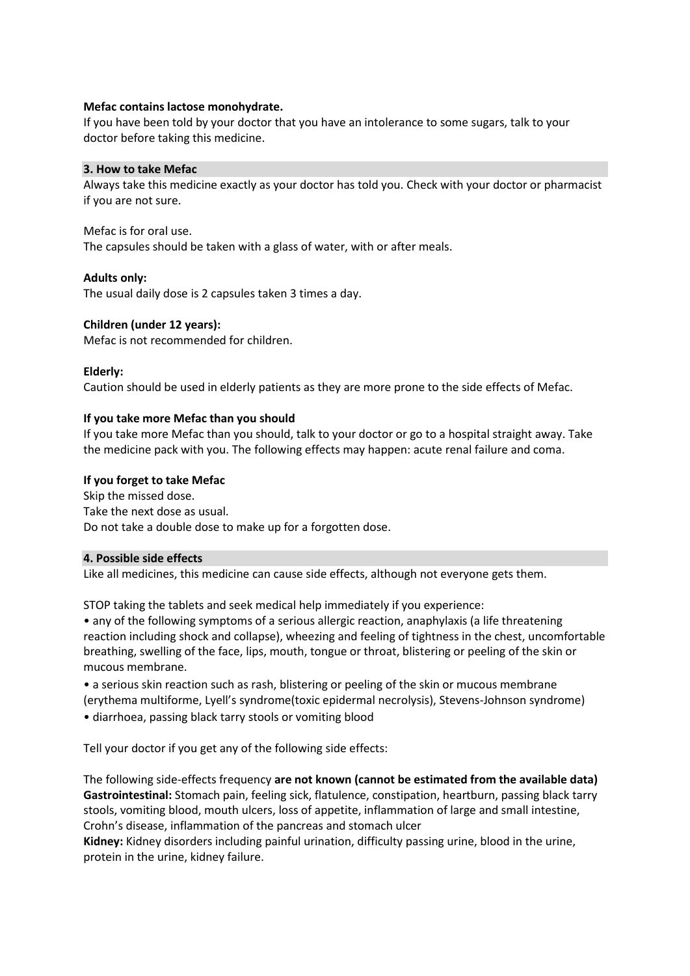# **Mefac contains lactose monohydrate.**

If you have been told by your doctor that you have an intolerance to some sugars, talk to your doctor before taking this medicine.

#### **3. How to take Mefac**

Always take this medicine exactly as your doctor has told you. Check with your doctor or pharmacist if you are not sure.

#### Mefac is for oral use.

The capsules should be taken with a glass of water, with or after meals.

#### **Adults only:**

The usual daily dose is 2 capsules taken 3 times a day.

# **Children (under 12 years):**

Mefac is not recommended for children.

#### **Elderly:**

Caution should be used in elderly patients as they are more prone to the side effects of Mefac.

#### **If you take more Mefac than you should**

If you take more Mefac than you should, talk to your doctor or go to a hospital straight away. Take the medicine pack with you. The following effects may happen: acute renal failure and coma.

#### **If you forget to take Mefac**

Skip the missed dose. Take the next dose as usual. Do not take a double dose to make up for a forgotten dose.

#### **4. Possible side effects**

Like all medicines, this medicine can cause side effects, although not everyone gets them.

STOP taking the tablets and seek medical help immediately if you experience:

• any of the following symptoms of a serious allergic reaction, anaphylaxis (a life threatening reaction including shock and collapse), wheezing and feeling of tightness in the chest, uncomfortable breathing, swelling of the face, lips, mouth, tongue or throat, blistering or peeling of the skin or mucous membrane.

• a serious skin reaction such as rash, blistering or peeling of the skin or mucous membrane (erythema multiforme, Lyell's syndrome(toxic epidermal necrolysis), Stevens-Johnson syndrome) • diarrhoea, passing black tarry stools or vomiting blood

Tell your doctor if you get any of the following side effects:

The following side-effects frequency **are not known (cannot be estimated from the available data) Gastrointestinal:** Stomach pain, feeling sick, flatulence, constipation, heartburn, passing black tarry stools, vomiting blood, mouth ulcers, loss of appetite, inflammation of large and small intestine, Crohn's disease, inflammation of the pancreas and stomach ulcer

**Kidney:** Kidney disorders including painful urination, difficulty passing urine, blood in the urine, protein in the urine, kidney failure.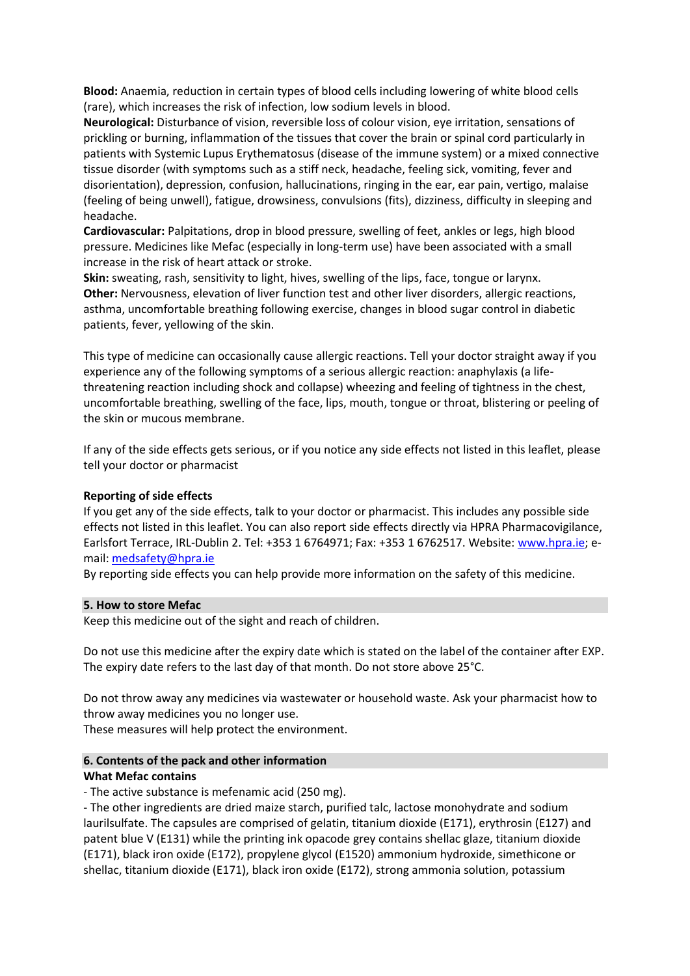**Blood:** Anaemia, reduction in certain types of blood cells including lowering of white blood cells (rare), which increases the risk of infection, low sodium levels in blood.

**Neurological:** Disturbance of vision, reversible loss of colour vision, eye irritation, sensations of prickling or burning, inflammation of the tissues that cover the brain or spinal cord particularly in patients with Systemic Lupus Erythematosus (disease of the immune system) or a mixed connective tissue disorder (with symptoms such as a stiff neck, headache, feeling sick, vomiting, fever and disorientation), depression, confusion, hallucinations, ringing in the ear, ear pain, vertigo, malaise (feeling of being unwell), fatigue, drowsiness, convulsions (fits), dizziness, difficulty in sleeping and headache.

**Cardiovascular:** Palpitations, drop in blood pressure, swelling of feet, ankles or legs, high blood pressure. Medicines like Mefac (especially in long-term use) have been associated with a small increase in the risk of heart attack or stroke.

**Skin:** sweating, rash, sensitivity to light, hives, swelling of the lips, face, tongue or larynx. **Other:** Nervousness, elevation of liver function test and other liver disorders, allergic reactions, asthma, uncomfortable breathing following exercise, changes in blood sugar control in diabetic patients, fever, yellowing of the skin.

This type of medicine can occasionally cause allergic reactions. Tell your doctor straight away if you experience any of the following symptoms of a serious allergic reaction: anaphylaxis (a lifethreatening reaction including shock and collapse) wheezing and feeling of tightness in the chest, uncomfortable breathing, swelling of the face, lips, mouth, tongue or throat, blistering or peeling of the skin or mucous membrane.

If any of the side effects gets serious, or if you notice any side effects not listed in this leaflet, please tell your doctor or pharmacist

# **Reporting of side effects**

If you get any of the side effects, talk to your doctor or pharmacist. This includes any possible side effects not listed in this leaflet. You can also report side effects directly via HPRA Pharmacovigilance, Earlsfort Terrace, IRL-Dublin 2. Tel: +353 1 6764971; Fax: +353 1 6762517. Website: [www.hpra.ie;](http://www.hpra.ie/) email[: medsafety@hpra.ie](mailto:medsafety@hpra.ie)

By reporting side effects you can help provide more information on the safety of this medicine.

# **5. How to store Mefac**

Keep this medicine out of the sight and reach of children.

Do not use this medicine after the expiry date which is stated on the label of the container after EXP. The expiry date refers to the last day of that month. Do not store above 25°C.

Do not throw away any medicines via wastewater or household waste. Ask your pharmacist how to throw away medicines you no longer use.

These measures will help protect the environment.

# **6. Contents of the pack and other information**

# **What Mefac contains**

- The active substance is mefenamic acid (250 mg).

- The other ingredients are dried maize starch, purified talc, lactose monohydrate and sodium laurilsulfate. The capsules are comprised of gelatin, titanium dioxide (E171), erythrosin (E127) and patent blue V (E131) while the printing ink opacode grey contains shellac glaze, titanium dioxide (E171), black iron oxide (E172), propylene glycol (E1520) ammonium hydroxide, simethicone or shellac, titanium dioxide (E171), black iron oxide (E172), strong ammonia solution, potassium